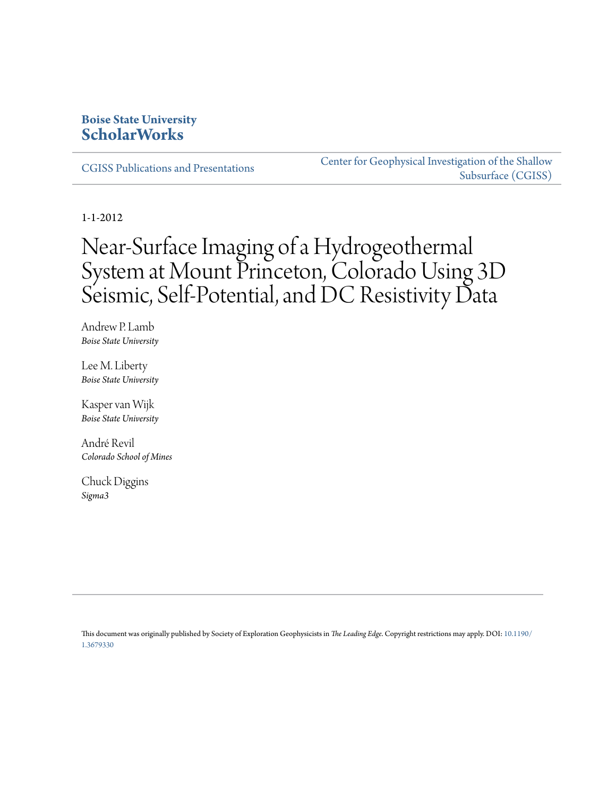### **Boise State University [ScholarWorks](https://scholarworks.boisestate.edu)**

[CGISS Publications and Presentations](https://scholarworks.boisestate.edu/cgiss_facpubs)

[Center for Geophysical Investigation of the Shallow](https://scholarworks.boisestate.edu/cgiss) [Subsurface \(CGISS\)](https://scholarworks.boisestate.edu/cgiss)

1-1-2012

# Near-Surface Imaging of a Hydrogeothermal System at Mount Princeton, Colorado Using 3D Seismic, Self-Potential, and DC Resistivity Data

Andrew P. Lamb *Boise State University*

Lee M. Liberty *Boise State University*

Kasper van Wijk *Boise State University*

André Revil *Colorado School of Mines*

Chuck Diggins *Sigma3*

This document was originally published by Society of Exploration Geophysicists in *The Leading Edge*. Copyright restrictions may apply. DOI: [10.1190/](http://dx.doi.org/10.1190/1.3679330) [1.3679330](http://dx.doi.org/10.1190/1.3679330)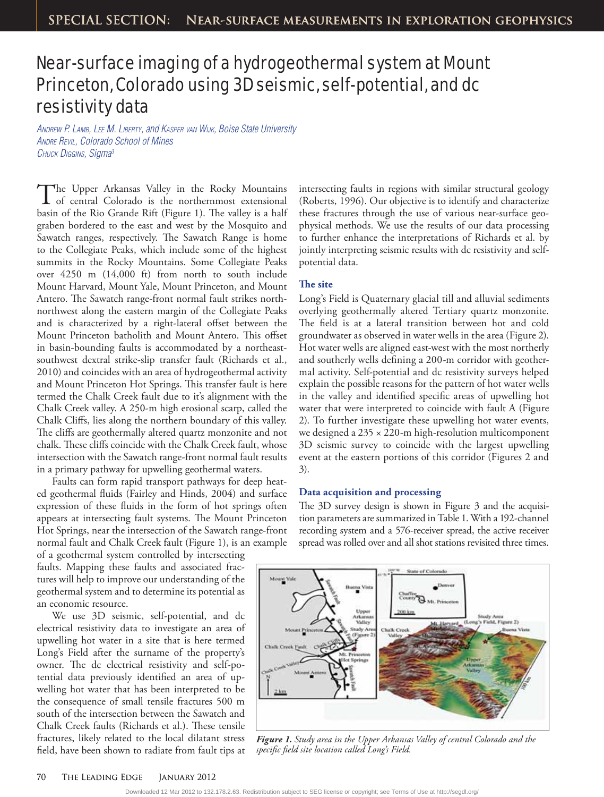## Near-surface imaging of a hydrogeothermal system at Mount Princeton, Colorado using 3D seismic, self-potential, and dc resistivity data

ANDREW P. LAMB, LEE M. LIBERTY, and KASPER VAN WIJK, Boise State University ANDRE REVIL, Colorado School of Mines CHUCK DIGGINS, Sigma<sup>3</sup>

The Upper Arkansas Valley in the Rocky Mountains of central Colorado is the northernmost extensional basin of the Rio Grande Rift (Figure 1). The valley is a half graben bordered to the east and west by the Mosquito and Sawatch ranges, respectively. The Sawatch Range is home to the Collegiate Peaks, which include some of the highest summits in the Rocky Mountains. Some Collegiate Peaks over 4250 m (14,000 ft) from north to south include Mount Harvard, Mount Yale, Mount Princeton, and Mount Antero. The Sawatch range-front normal fault strikes northnorthwest along the eastern margin of the Collegiate Peaks and is characterized by a right-lateral offset between the Mount Princeton batholith and Mount Antero. This offset in basin-bounding faults is accommodated by a northeastsouthwest dextral strike-slip transfer fault (Richards et al., 2010) and coincides with an area of hydrogeothermal activity and Mount Princeton Hot Springs. This transfer fault is here termed the Chalk Creek fault due to it's alignment with the Chalk Creek valley. A 250-m high erosional scarp, called the Chalk Cliffs, lies along the northern boundary of this valley. The cliffs are geothermally altered quartz monzonite and not chalk. These cliffs coincide with the Chalk Creek fault, whose intersection with the Sawatch range-front normal fault results in a primary pathway for upwelling geothermal waters.

Faults can form rapid transport pathways for deep heated geothermal fluids (Fairley and Hinds, 2004) and surface expression of these fluids in the form of hot springs often appears at intersecting fault systems. The Mount Princeton Hot Springs, near the intersection of the Sawatch range-front normal fault and Chalk Creek fault (Figure 1), is an example

of a geothermal system controlled by intersecting faults. Mapping these faults and associated fractures will help to improve our understanding of the geothermal system and to determine its potential as an economic resource.

We use 3D seismic, self-potential, and dc electrical resistivity data to investigate an area of upwelling hot water in a site that is here termed Long's Field after the surname of the property's owner. The dc electrical resistivity and self-potential data previously identified an area of upwelling hot water that has been interpreted to be the consequence of small tensile fractures 500 m south of the intersection between the Sawatch and Chalk Creek faults (Richards et al.). These tensile fractures, likely related to the local dilatant stress field, have been shown to radiate from fault tips at

intersecting faults in regions with similar structural geology (Roberts, 1996). Our objective is to identify and characterize these fractures through the use of various near-surface geophysical methods. We use the results of our data processing to further enhance the interpretations of Richards et al. by jointly interpreting seismic results with dc resistivity and selfpotential data.

#### **The site**

Long's Field is Quaternary glacial till and alluvial sediments overlying geothermally altered Tertiary quartz monzonite. The field is at a lateral transition between hot and cold groundwater as observed in water wells in the area (Figure 2). Hot water wells are aligned east-west with the most northerly and southerly wells defining a 200-m corridor with geothermal activity. Self-potential and dc resistivity surveys helped explain the possible reasons for the pattern of hot water wells in the valley and identified specific areas of upwelling hot water that were interpreted to coincide with fault A (Figure 2). To further investigate these upwelling hot water events, we designed a 235 × 220-m high-resolution multicomponent 3D seismic survey to coincide with the largest upwelling event at the eastern portions of this corridor (Figures 2 and 3).

#### **Data acquisition and processing**

The 3D survey design is shown in Figure 3 and the acquisition parameters are summarized in Table 1. With a 192-channel recording system and a 576-receiver spread, the active receiver spread was rolled over and all shot stations revisited three times.



*Figure 1. Study area in the Upper Arkansas Valley of central Colorado and the specific field site location called Long's Field.*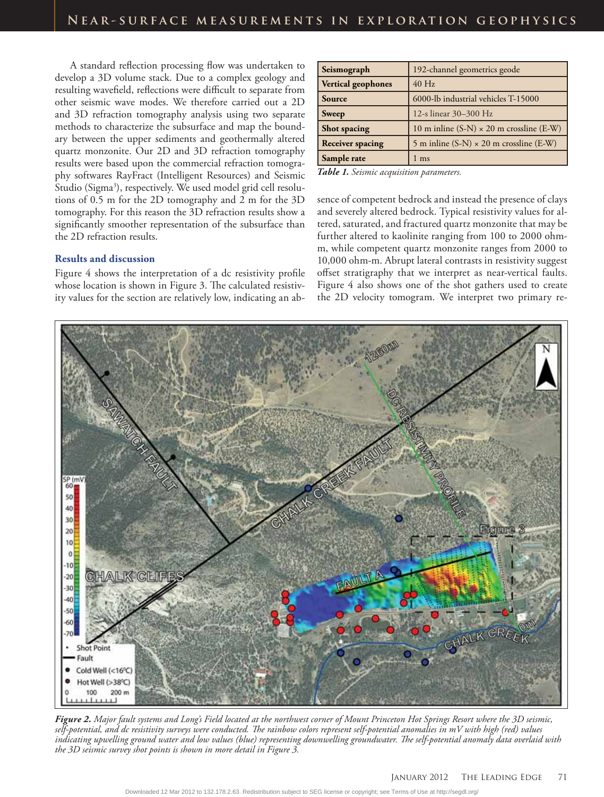A standard reflection processing flow was undertaken to develop a 3D volume stack. Due to a complex geology and resulting wavefield, reflections were difficult to separate from other seismic wave modes. We therefore carried out a 2D and 3D refraction tomography analysis using two separate methods to characterize the subsurface and map the boundary between the upper sediments and geothermally altered quartz monzonite. Our 2D and 3D refraction tomography results were based upon the commercial refraction tomography softwares RayFract (Intelligent Resources) and Seismic Studio (Sigma<sup>3</sup>), respectively. We used model grid cell resolutions of 0.5 m for the 2D tomography and 2 m for the 3D tomography. For this reason the 3D refraction results show a significantly smoother representation of the subsurface than the 2D refraction results.

#### **Results and discussion**

Figure 4 shows the interpretation of a dc resistivity profile whose location is shown in Figure 3. The calculated resistivity values for the section are relatively low, indicating an ab-

| Seismograph               | 192-channel geometrics geode                    |
|---------------------------|-------------------------------------------------|
| <b>Vertical geophones</b> | $40$ Hz                                         |
| Source                    | 6000-lb industrial vehicles T-15000             |
| <b>Sweep</b>              | 12-s linear 30-300 Hz                           |
| Shot spacing              | 10 m inline $(S-N) \times 20$ m crossline (E-W) |
| <b>Receiver spacing</b>   | 5 m inline $(S-N) \times 20$ m crossline (E-W)  |
| Sample rate               | ms                                              |

*Table 1. Seismic acquisition parameters.*

sence of competent bedrock and instead the presence of clays and severely altered bedrock. Typical resistivity values for altered, saturated, and fractured quartz monzonite that may be further altered to kaolinite ranging from 100 to 2000 ohmm, while competent quartz monzonite ranges from 2000 to 10,000 ohm-m. Abrupt lateral contrasts in resistivity suggest offset stratigraphy that we interpret as near-vertical faults. Figure 4 also shows one of the shot gathers used to create the 2D velocity tomogram. We interpret two primary re-



*Figure 2. Major fault systems and Long's Field located at the northwest corner of Mount Princeton Hot Springs Resort where the 3D seismic, self-potential, and dc resistivity surveys were conducted. The rainbow colors represent self-potential anomalies in mV with high (red) values indicating upwelling ground water and low values (blue) representing downwelling groundwater. The self-potential anomaly data overlaid with the 3D seismic survey shot points is shown in more detail in Figure 3.*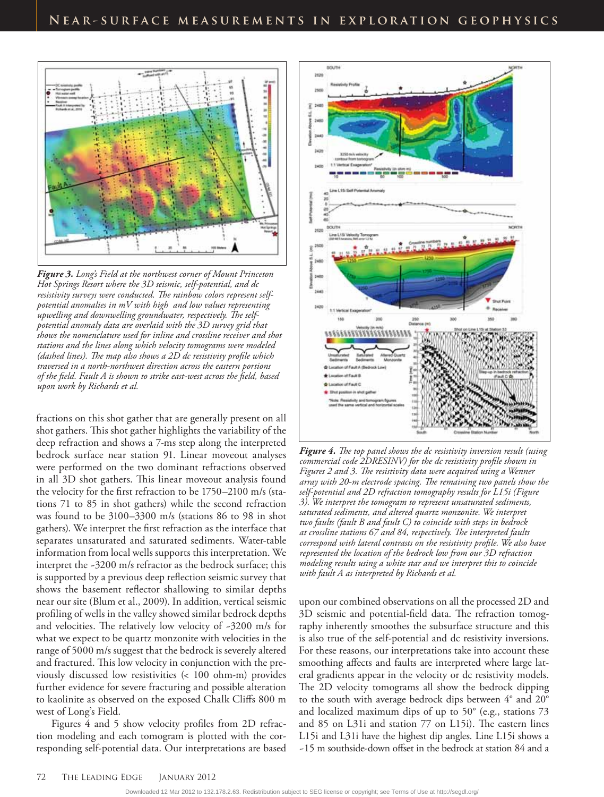

*Figure 3. Long's Field at the northwest corner of Mount Princeton Hot Springs Resort where the 3D seismic, self-potential, and dc resistivity surveys were conducted. The rainbow colors represent selfpotential anomalies in mV with high and low values representing upwelling and downwelling groundwater, respectively. The selfpotential anomaly data are overlaid with the 3D survey grid that shows the nomenclature used for inline and crossline receiver and shot stations and the lines along which velocity tomograms were modeled (dashed lines). The map also shows a 2D dc resistivity profile which traversed in a north-northwest direction across the eastern portions of the field. Fault A is shown to strike east-west across the field, based upon work by Richards et al.* 

fractions on this shot gather that are generally present on all shot gathers. This shot gather highlights the variability of the deep refraction and shows a 7-ms step along the interpreted bedrock surface near station 91. Linear moveout analyses were performed on the two dominant refractions observed in all 3D shot gathers. This linear moveout analysis found the velocity for the first refraction to be 1750–2100 m/s (stations 71 to 85 in shot gathers) while the second refraction was found to be 3100–3300 m/s (stations 86 to 98 in shot gathers). We interpret the first refraction as the interface that separates unsaturated and saturated sediments. Water-table information from local wells supports this interpretation. We interpret the ~3200 m/s refractor as the bedrock surface; this is supported by a previous deep reflection seismic survey that shows the basement reflector shallowing to similar depths near our site (Blum et al., 2009). In addition, vertical seismic profiling of wells in the valley showed similar bedrock depths and velocities. The relatively low velocity of ~3200 m/s for what we expect to be quartz monzonite with velocities in the range of 5000 m/s suggest that the bedrock is severely altered and fractured. This low velocity in conjunction with the previously discussed low resistivities (< 100 ohm-m) provides further evidence for severe fracturing and possible alteration to kaolinite as observed on the exposed Chalk Cliffs 800 m west of Long's Field.

Figures 4 and 5 show velocity profiles from 2D refraction modeling and each tomogram is plotted with the corresponding self-potential data. Our interpretations are based



*Figure 4. The top panel shows the dc resistivity inversion result (using commercial code 2DRESINV) for the dc resistivity profile shown in Figures 2 and 3. The resistivity data were acquired using a Wenner array with 20-m electrode spacing. The remaining two panels show the self-potential and 2D refraction tomography results for L15i (Figure 3). We interpret the tomogram to represent unsaturated sediments, saturated sediments, and altered quartz monzonite. We interpret two faults (fault B and fault C) to coincide with steps in bedrock at crossline stations 67 and 84, respectively. The interpreted faults correspond with lateral contrasts on the resistivity profile. We also have represented the location of the bedrock low from our 3D refraction modeling results using a white star and we interpret this to coincide with fault A as interpreted by Richards et al.*

upon our combined observations on all the processed 2D and 3D seismic and potential-field data. The refraction tomography inherently smoothes the subsurface structure and this is also true of the self-potential and dc resistivity inversions. For these reasons, our interpretations take into account these smoothing affects and faults are interpreted where large lateral gradients appear in the velocity or dc resistivity models. The 2D velocity tomograms all show the bedrock dipping to the south with average bedrock dips between 4° and 20° and localized maximum dips of up to 50° (e.g., stations 73 and 85 on L31i and station 77 on L15i). The eastern lines L15i and L31i have the highest dip angles. Line L15i shows a ~15 m southside-down offset in the bedrock at station 84 and a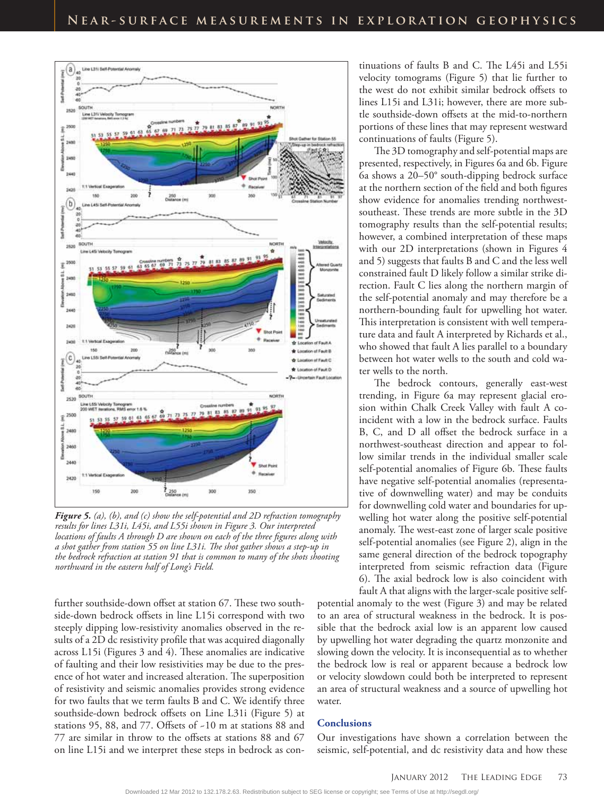

*Figure 5. (a), (b), and (c) show the self-potential and 2D refraction tomography results for lines L31i, L45i, and L55i shown in Figure 3. Our interpreted locations of faults A through D are shown on each of the three figures along with a shot gather from station 55 on line L31i. The shot gather shows a step-up in the bedrock refraction at station 91 that is common to many of the shots shooting northward in the eastern half of Long's Field.*

further southside-down offset at station 67. These two southside-down bedrock offsets in line L15i correspond with two steeply dipping low-resistivity anomalies observed in the results of a 2D dc resistivity profile that was acquired diagonally across L15i (Figures 3 and 4). These anomalies are indicative of faulting and their low resistivities may be due to the presence of hot water and increased alteration. The superposition of resistivity and seismic anomalies provides strong evidence for two faults that we term faults B and C. We identify three southside-down bedrock offsets on Line L31i (Figure 5) at stations 95, 88, and 77. Offsets of ~10 m at stations 88 and 77 are similar in throw to the offsets at stations 88 and 67 on line L15i and we interpret these steps in bedrock as continuations of faults B and C. The L45i and L55i velocity tomograms (Figure 5) that lie further to the west do not exhibit similar bedrock offsets to lines L15i and L31i; however, there are more subtle southside-down offsets at the mid-to-northern portions of these lines that may represent westward continuations of faults (Figure 5).

The 3D tomography and self-potential maps are presented, respectively, in Figures 6a and 6b. Figure 6a shows a 20–50° south-dipping bedrock surface at the northern section of the field and both figures show evidence for anomalies trending northwestsoutheast. These trends are more subtle in the 3D tomography results than the self-potential results; however, a combined interpretation of these maps with our 2D interpretations (shown in Figures 4 and 5) suggests that faults B and C and the less well constrained fault D likely follow a similar strike direction. Fault C lies along the northern margin of the self-potential anomaly and may therefore be a northern-bounding fault for upwelling hot water. This interpretation is consistent with well temperature data and fault A interpreted by Richards et al., who showed that fault A lies parallel to a boundary between hot water wells to the south and cold water wells to the north.

The bedrock contours, generally east-west trending, in Figure 6a may represent glacial erosion within Chalk Creek Valley with fault A coincident with a low in the bedrock surface. Faults B, C, and D all offset the bedrock surface in a northwest-southeast direction and appear to follow similar trends in the individual smaller scale self-potential anomalies of Figure 6b. These faults have negative self-potential anomalies (representative of downwelling water) and may be conduits for downwelling cold water and boundaries for upwelling hot water along the positive self-potential anomaly. The west-east zone of larger scale positive self-potential anomalies (see Figure 2), align in the same general direction of the bedrock topography interpreted from seismic refraction data (Figure 6). The axial bedrock low is also coincident with fault A that aligns with the larger-scale positive self-

potential anomaly to the west (Figure 3) and may be related to an area of structural weakness in the bedrock. It is possible that the bedrock axial low is an apparent low caused by upwelling hot water degrading the quartz monzonite and slowing down the velocity. It is inconsequential as to whether the bedrock low is real or apparent because a bedrock low or velocity slowdown could both be interpreted to represent an area of structural weakness and a source of upwelling hot water.

#### **Conclusions**

Our investigations have shown a correlation between the seismic, self-potential, and dc resistivity data and how these